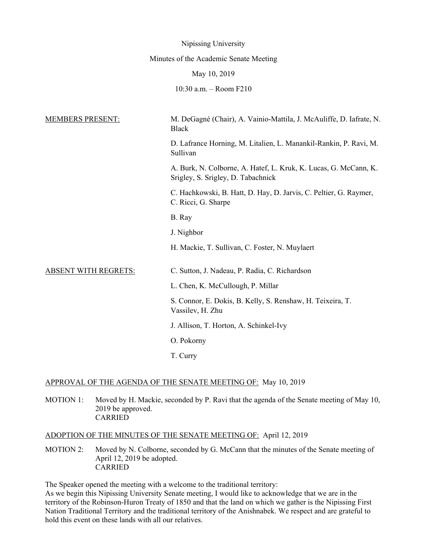|                             | Nipissing University                                                                                   |
|-----------------------------|--------------------------------------------------------------------------------------------------------|
|                             | Minutes of the Academic Senate Meeting                                                                 |
|                             | May 10, 2019                                                                                           |
|                             | 10:30 a.m. - Room F210                                                                                 |
| <b>MEMBERS PRESENT:</b>     | M. DeGagné (Chair), A. Vainio-Mattila, J. McAuliffe, D. Iafrate, N.<br><b>Black</b>                    |
|                             | D. Lafrance Horning, M. Litalien, L. Manankil-Rankin, P. Ravi, M.<br>Sullivan                          |
|                             | A. Burk, N. Colborne, A. Hatef, L. Kruk, K. Lucas, G. McCann, K.<br>Srigley, S. Srigley, D. Tabachnick |
|                             | C. Hachkowski, B. Hatt, D. Hay, D. Jarvis, C. Peltier, G. Raymer,<br>C. Ricci, G. Sharpe               |
|                             | B. Ray                                                                                                 |
|                             | J. Nighbor                                                                                             |
|                             | H. Mackie, T. Sullivan, C. Foster, N. Muylaert                                                         |
| <b>ABSENT WITH REGRETS:</b> | C. Sutton, J. Nadeau, P. Radia, C. Richardson                                                          |
|                             | L. Chen, K. McCullough, P. Millar                                                                      |
|                             | S. Connor, E. Dokis, B. Kelly, S. Renshaw, H. Teixeira, T.<br>Vassilev, H. Zhu                         |
|                             | J. Allison, T. Horton, A. Schinkel-Ivy                                                                 |
|                             | O. Pokorny                                                                                             |
|                             | T. Curry                                                                                               |

# APPROVAL OF THE AGENDA OF THE SENATE MEETING OF: May 10, 2019

MOTION 1: Moved by H. Mackie, seconded by P. Ravi that the agenda of the Senate meeting of May 10, 2019 be approved. CARRIED

## ADOPTION OF THE MINUTES OF THE SENATE MEETING OF: April 12, 2019

MOTION 2: Moved by N. Colborne, seconded by G. McCann that the minutes of the Senate meeting of April 12, 2019 be adopted. CARRIED

The Speaker opened the meeting with a welcome to the traditional territory:

As we begin this Nipissing University Senate meeting, I would like to acknowledge that we are in the territory of the Robinson-Huron Treaty of 1850 and that the land on which we gather is the Nipissing First Nation Traditional Territory and the traditional territory of the Anishnabek. We respect and are grateful to hold this event on these lands with all our relatives.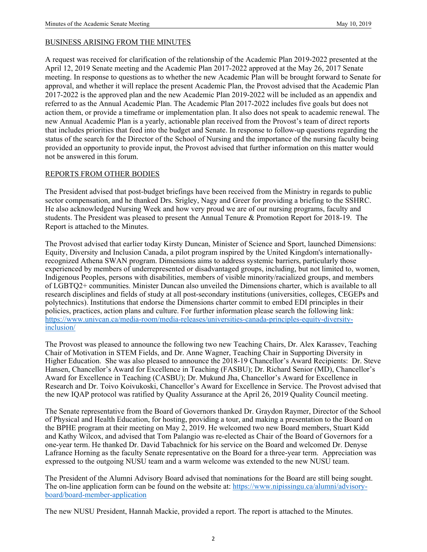#### BUSINESS ARISING FROM THE MINUTES

A request was received for clarification of the relationship of the Academic Plan 2019-2022 presented at the April 12, 2019 Senate meeting and the Academic Plan 2017-2022 approved at the May 26, 2017 Senate meeting. In response to questions as to whether the new Academic Plan will be brought forward to Senate for approval, and whether it will replace the present Academic Plan, the Provost advised that the Academic Plan 2017-2022 is the approved plan and the new Academic Plan 2019-2022 will be included as an appendix and referred to as the Annual Academic Plan. The Academic Plan 2017-2022 includes five goals but does not action them, or provide a timeframe or implementation plan. It also does not speak to academic renewal. The new Annual Academic Plan is a yearly, actionable plan received from the Provost's team of direct reports that includes priorities that feed into the budget and Senate. In response to follow-up questions regarding the status of the search for the Director of the School of Nursing and the importance of the nursing faculty being provided an opportunity to provide input, the Provost advised that further information on this matter would not be answered in this forum.

#### REPORTS FROM OTHER BODIES

The President advised that post-budget briefings have been received from the Ministry in regards to public sector compensation, and he thanked Drs. Srigley, Nagy and Greer for providing a briefing to the SSHRC. He also acknowledged Nursing Week and how very proud we are of our nursing programs, faculty and students. The President was pleased to present the Annual Tenure & Promotion Report for 2018-19. The Report is attached to the Minutes.

The Provost advised that earlier today Kirsty Duncan, Minister of Science and Sport, launched Dimensions: Equity, Diversity and Inclusion Canada, a pilot program inspired by the United Kingdom's internationallyrecognized Athena SWAN program. Dimensions aims to address systemic barriers, particularly those experienced by members of underrepresented or disadvantaged groups, including, but not limited to, women, Indigenous Peoples, persons with disabilities, members of visible minority/racialized groups, and members of LGBTQ2+ communities. Minister Duncan also unveiled the Dimensions charter, which is available to all research disciplines and fields of study at all post-secondary institutions (universities, colleges, CEGEPs and polytechnics). Institutions that endorse the Dimensions charter commit to embed EDI principles in their policies, practices, action plans and culture. For further information please search the following link: https://www.univcan.ca/media-room/media-releases/universities-canada-principles-equity-diversityinclusion/

The Provost was pleased to announce the following two new Teaching Chairs, Dr. Alex Karassev, Teaching Chair of Motivation in STEM Fields, and Dr. Anne Wagner, Teaching Chair in Supporting Diversity in Higher Education. She was also pleased to announce the 2018-19 Chancellor's Award Recipients: Dr. Steve Hansen, Chancellor's Award for Excellence in Teaching (FASBU); Dr. Richard Senior (MD), Chancellor's Award for Excellence in Teaching (CASBU); Dr. Mukund Jha, Chancellor's Award for Excellence in Research and Dr. Toivo Koivukoski, Chancellor's Award for Excellence in Service. The Provost advised that the new IQAP protocol was ratified by Quality Assurance at the April 26, 2019 Quality Council meeting.

The Senate representative from the Board of Governors thanked Dr. Graydon Raymer, Director of the School of Physical and Health Education, for hosting, providing a tour, and making a presentation to the Board on the BPHE program at their meeting on May 2, 2019. He welcomed two new Board members, Stuart Kidd and Kathy Wilcox, and advised that Tom Palangio was re-elected as Chair of the Board of Governors for a one-year term. He thanked Dr. David Tabachnick for his service on the Board and welcomed Dr. Denyse Lafrance Horning as the faculty Senate representative on the Board for a three-year term. Appreciation was expressed to the outgoing NUSU team and a warm welcome was extended to the new NUSU team.

The President of the Alumni Advisory Board advised that nominations for the Board are still being sought. The on-line application form can be found on the website at: https://www.nipissingu.ca/alumni/advisoryboard/board-member-application

The new NUSU President, Hannah Mackie, provided a report. The report is attached to the Minutes.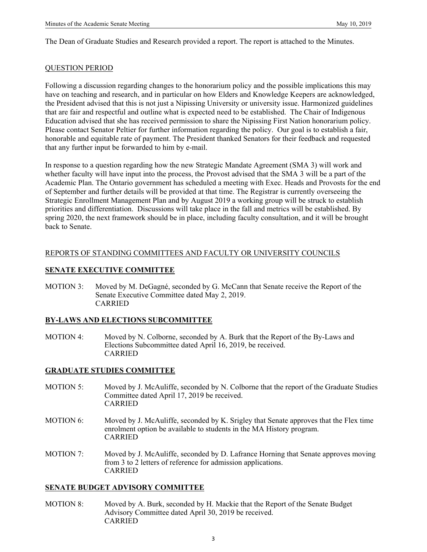The Dean of Graduate Studies and Research provided a report. The report is attached to the Minutes.

#### QUESTION PERIOD

Following a discussion regarding changes to the honorarium policy and the possible implications this may have on teaching and research, and in particular on how Elders and Knowledge Keepers are acknowledged, the President advised that this is not just a Nipissing University or university issue. Harmonized guidelines that are fair and respectful and outline what is expected need to be established. The Chair of Indigenous Education advised that she has received permission to share the Nipissing First Nation honorarium policy. Please contact Senator Peltier for further information regarding the policy. Our goal is to establish a fair, honorable and equitable rate of payment. The President thanked Senators for their feedback and requested that any further input be forwarded to him by e-mail.

In response to a question regarding how the new Strategic Mandate Agreement (SMA 3) will work and whether faculty will have input into the process, the Provost advised that the SMA 3 will be a part of the Academic Plan. The Ontario government has scheduled a meeting with Exec. Heads and Provosts for the end of September and further details will be provided at that time. The Registrar is currently overseeing the Strategic Enrollment Management Plan and by August 2019 a working group will be struck to establish priorities and differentiation. Discussions will take place in the fall and metrics will be established. By spring 2020, the next framework should be in place, including faculty consultation, and it will be brought back to Senate.

## REPORTS OF STANDING COMMITTEES AND FACULTY OR UNIVERSITY COUNCILS

## **SENATE EXECUTIVE COMMITTEE**

MOTION 3: Moved by M. DeGagné, seconded by G. McCann that Senate receive the Report of the Senate Executive Committee dated May 2, 2019. CARRIED

#### **BY-LAWS AND ELECTIONS SUBCOMMITTEE**

MOTION 4: Moved by N. Colborne, seconded by A. Burk that the Report of the By-Laws and Elections Subcommittee dated April 16, 2019, be received. CARRIED

#### **GRADUATE STUDIES COMMITTEE**

- MOTION 5: Moved by J. McAuliffe, seconded by N. Colborne that the report of the Graduate Studies Committee dated April 17, 2019 be received. CARRIED
- MOTION 6: Moved by J. McAuliffe, seconded by K. Srigley that Senate approves that the Flex time enrolment option be available to students in the MA History program. CARRIED
- MOTION 7: Moved by J. McAuliffe, seconded by D. Lafrance Horning that Senate approves moving from 3 to 2 letters of reference for admission applications. CARRIED

#### **SENATE BUDGET ADVISORY COMMITTEE**

MOTION 8: Moved by A. Burk, seconded by H. Mackie that the Report of the Senate Budget Advisory Committee dated April 30, 2019 be received. CARRIED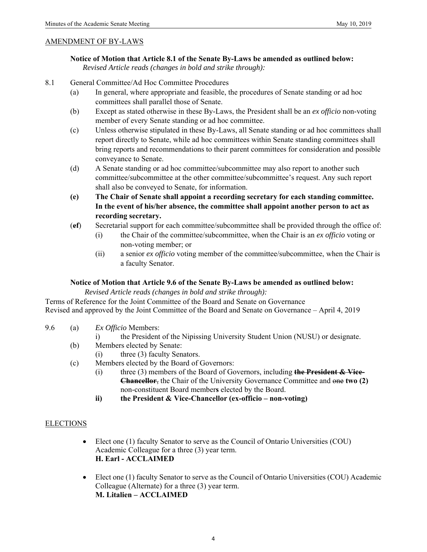#### AMENDMENT OF BY-LAWS

 **Notice of Motion that Article 8.1 of the Senate By-Laws be amended as outlined below:**  *Revised Article reads (changes in bold and strike through):* 

- 8.1 General Committee/Ad Hoc Committee Procedures
	- (a) In general, where appropriate and feasible, the procedures of Senate standing or ad hoc committees shall parallel those of Senate.
	- (b) Except as stated otherwise in these By-Laws, the President shall be an *ex officio* non-voting member of every Senate standing or ad hoc committee.
	- (c) Unless otherwise stipulated in these By-Laws, all Senate standing or ad hoc committees shall report directly to Senate, while ad hoc committees within Senate standing committees shall bring reports and recommendations to their parent committees for consideration and possible conveyance to Senate.
	- (d) A Senate standing or ad hoc committee/subcommittee may also report to another such committee/subcommittee at the other committee/subcommittee's request. Any such report shall also be conveyed to Senate, for information.
	- **(e) The Chair of Senate shall appoint a recording secretary for each standing committee. In the event of his/her absence, the committee shall appoint another person to act as recording secretary.**
	- (**ef**) Secretarial support for each committee/subcommittee shall be provided through the office of:
		- (i) the Chair of the committee/subcommittee, when the Chair is an *ex officio* voting or non-voting member; or
		- (ii) a senior *ex officio* voting member of the committee/subcommittee, when the Chair is a faculty Senator.

#### **Notice of Motion that Article 9.6 of the Senate By-Laws be amended as outlined below:**

 *Revised Article reads (changes in bold and strike through):* 

Terms of Reference for the Joint Committee of the Board and Senate on Governance Revised and approved by the Joint Committee of the Board and Senate on Governance – April 4, 2019

- 9.6 (a) *Ex Officio* Members:
	- i) the President of the Nipissing University Student Union (NUSU) or designate.
	- (b) Members elected by Senate:
		- (i) three (3) faculty Senators.
	- (c) Members elected by the Board of Governors:
		- (i) three (3) members of the Board of Governors, including **the President & Vice-Chancellor**, the Chair of the University Governance Committee and one **two (2)** non-constituent Board member**s** elected by the Board.
		- **ii) the President & Vice-Chancellor (ex-officio non-voting)**

#### ELECTIONS

- Elect one (1) faculty Senator to serve as the Council of Ontario Universities (COU) Academic Colleague for a three (3) year term. **H. Earl - ACCLAIMED**
- Elect one (1) faculty Senator to serve as the Council of Ontario Universities (COU) Academic Colleague (Alternate) for a three (3) year term. **M. Litalien – ACCLAIMED**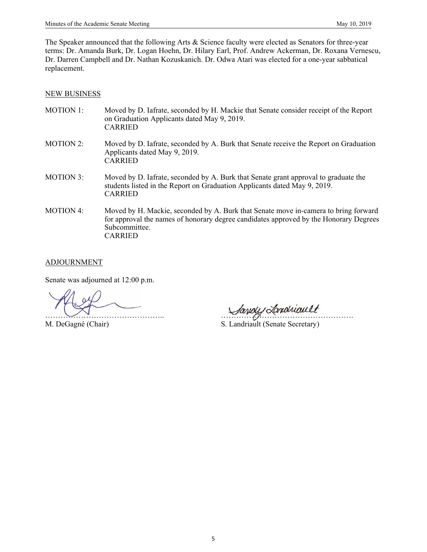The Speaker announced that the following Arts & Science faculty were elected as Senators for three-year terms: Dr. Amanda Burk, Dr. Logan Hoehn, Dr. Hilary Earl, Prof. Andrew Ackerman, Dr. Roxana Vernescu, Dr. Darren Campbell and Dr. Nathan Kozuskanich. Dr. Odwa Atari was elected for a one-year sabbatical replacement.

#### NEW BUSINESS

- MOTION 1: Moved by D. Iafrate, seconded by H. Mackie that Senate consider receipt of the Report on Graduation Applicants dated May 9, 2019. CARRIED
- MOTION 2: Moved by D. Iafrate, seconded by A. Burk that Senate receive the Report on Graduation Applicants dated May 9, 2019. CARRIED
- MOTION 3: Moved by D. Iafrate, seconded by A. Burk that Senate grant approval to graduate the students listed in the Report on Graduation Applicants dated May 9, 2019. CARRIED
- MOTION 4: Moved by H. Mackie, seconded by A. Burk that Senate move in-camera to bring forward for approval the names of honorary degree candidates approved by the Honorary Degrees Subcommittee. CARRIED

#### ADJOURNMENT

Senate was adjourned at 12:00 p.m.

 $\bigcup_{\alpha}$ 

M. DeGagné (Chair) S. Landriault (Senate Secretary)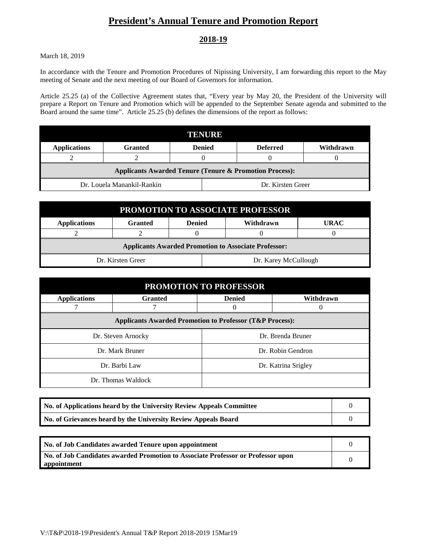# **President's Annual Tenure and Promotion Report**

# **2018-19**

March 18, 2019

In accordance with the Tenure and Promotion Procedures of Nipissing University, I am forwarding this report to the May meeting of Senate and the next meeting of our Board of Governors for information.

Article 25.25 (a) of the Collective Agreement states that, "Every year by May 20, the President of the University will prepare a Report on Tenure and Promotion which will be appended to the September Senate agenda and submitted to the Board around the same time". Article 25.25 (b) defines the dimensions of the report as follows:

| TENURE                                                             |         |               |                   |           |  |
|--------------------------------------------------------------------|---------|---------------|-------------------|-----------|--|
| <b>Applications</b>                                                | Granted | <b>Denied</b> | <b>Deferred</b>   | Withdrawn |  |
|                                                                    |         |               |                   |           |  |
| <b>Applicants Awarded Tenure (Tenure &amp; Promotion Process):</b> |         |               |                   |           |  |
| Dr. Louela Manankil-Rankin                                         |         |               | Dr. Kirsten Greer |           |  |

| <b>PROMOTION TO ASSOCIATE PROFESSOR</b>                     |                |                      |  |           |             |
|-------------------------------------------------------------|----------------|----------------------|--|-----------|-------------|
| <b>Applications</b>                                         | <b>Granted</b> | <b>Denied</b>        |  | Withdrawn | <b>URAC</b> |
|                                                             |                |                      |  |           |             |
| <b>Applicants Awarded Promotion to Associate Professor:</b> |                |                      |  |           |             |
| Dr. Kirsten Greer                                           |                | Dr. Karey McCullough |  |           |             |

| <b>PROMOTION TO PROFESSOR</b>                                       |                    |                     |                   |  |
|---------------------------------------------------------------------|--------------------|---------------------|-------------------|--|
| <b>Applications</b>                                                 | <b>Granted</b>     | <b>Denied</b>       | Withdrawn         |  |
|                                                                     |                    | 0                   |                   |  |
| <b>Applicants Awarded Promotion to Professor (T&amp;P Process):</b> |                    |                     |                   |  |
|                                                                     | Dr. Steven Arnocky |                     | Dr. Brenda Bruner |  |
|                                                                     | Dr. Mark Bruner    |                     | Dr. Robin Gendron |  |
| Dr. Barbi Law                                                       |                    | Dr. Katrina Srigley |                   |  |
|                                                                     | Dr. Thomas Waldock |                     |                   |  |

| No. of Applications heard by the University Review Appeals Committee |  |
|----------------------------------------------------------------------|--|
| No. of Grievances heard by the University Review Appeals Board       |  |

| No. of Job Candidates awarded Tenure upon appointment                                           |  |
|-------------------------------------------------------------------------------------------------|--|
| No. of Job Candidates awarded Promotion to Associate Professor or Professor upon<br>appointment |  |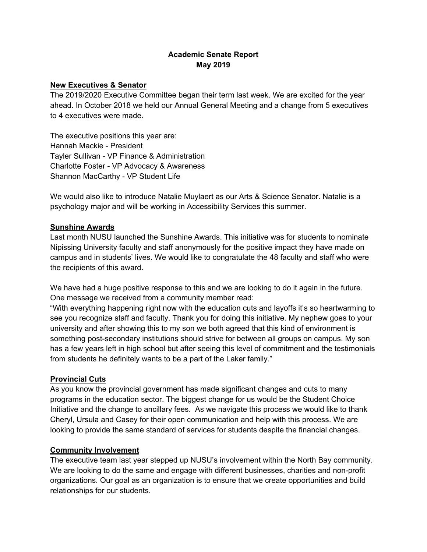# **Academic Senate Report May 2019**

# **New Executives & Senator**

The 2019/2020 Executive Committee began their term last week. We are excited for the year ahead. In October 2018 we held our Annual General Meeting and a change from 5 executives to 4 executives were made.

The executive positions this year are: Hannah Mackie - President Tayler Sullivan - VP Finance & Administration Charlotte Foster - VP Advocacy & Awareness Shannon MacCarthy - VP Student Life

We would also like to introduce Natalie Muylaert as our Arts & Science Senator. Natalie is a psychology major and will be working in Accessibility Services this summer.

# **Sunshine Awards**

Last month NUSU launched the Sunshine Awards. This initiative was for students to nominate Nipissing University faculty and staff anonymously for the positive impact they have made on campus and in students' lives. We would like to congratulate the 48 faculty and staff who were the recipients of this award.

We have had a huge positive response to this and we are looking to do it again in the future. One message we received from a community member read:

"With everything happening right now with the education cuts and layoffs it's so heartwarming to see you recognize staff and faculty. Thank you for doing this initiative. My nephew goes to your university and after showing this to my son we both agreed that this kind of environment is something post-secondary institutions should strive for between all groups on campus. My son has a few years left in high school but after seeing this level of commitment and the testimonials from students he definitely wants to be a part of the Laker family."

# **Provincial Cuts**

As you know the provincial government has made significant changes and cuts to many programs in the education sector. The biggest change for us would be the Student Choice Initiative and the change to ancillary fees. As we navigate this process we would like to thank Cheryl, Ursula and Casey for their open communication and help with this process. We are looking to provide the same standard of services for students despite the financial changes.

## **Community Involvement**

The executive team last year stepped up NUSU's involvement within the North Bay community. We are looking to do the same and engage with different businesses, charities and non-profit organizations. Our goal as an organization is to ensure that we create opportunities and build relationships for our students.